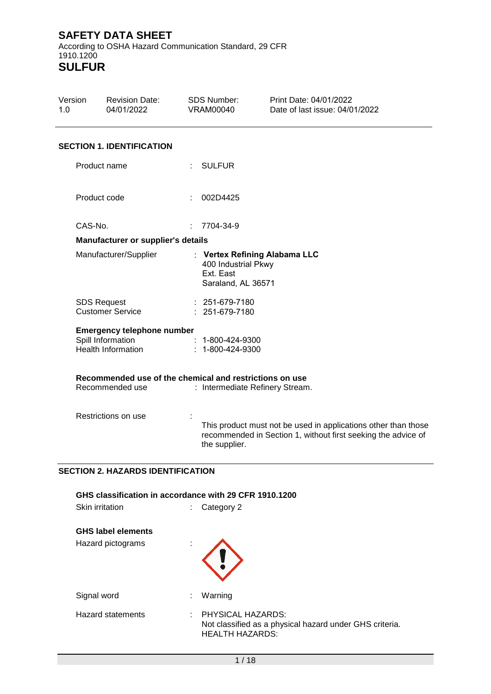$\overline{a}$ 

According to OSHA Hazard Communication Standard, 29 CFR 1910.1200 **SULFUR**

| Version<br>1.0        | <b>Revision Date:</b><br>04/01/2022                                                 | <b>SDS Number:</b><br><b>VRAM00040</b>                 | Print Date: 04/01/2022<br>Date of last issue: 04/01/2022                                                                        |  |
|-----------------------|-------------------------------------------------------------------------------------|--------------------------------------------------------|---------------------------------------------------------------------------------------------------------------------------------|--|
|                       | <b>SECTION 1. IDENTIFICATION</b>                                                    |                                                        |                                                                                                                                 |  |
|                       | Product name                                                                        | <b>SULFUR</b>                                          |                                                                                                                                 |  |
|                       | Product code                                                                        | 002D4425                                               |                                                                                                                                 |  |
| CAS-No.               |                                                                                     | 7704-34-9                                              |                                                                                                                                 |  |
|                       | Manufacturer or supplier's details                                                  |                                                        |                                                                                                                                 |  |
| Manufacturer/Supplier |                                                                                     | 400 Industrial Pkwy<br>Ext. East<br>Saraland, AL 36571 | : Vertex Refining Alabama LLC                                                                                                   |  |
|                       | <b>SDS Request</b><br><b>Customer Service</b>                                       | $: 251-679-7180$<br>251-679-7180                       |                                                                                                                                 |  |
|                       | <b>Emergency telephone number</b><br>Spill Information<br><b>Health Information</b> | $: 1 - 800 - 424 - 9300$<br>1-800-424-9300             |                                                                                                                                 |  |
|                       | Recommended use of the chemical and restrictions on use<br>Recommended use          | : Intermediate Refinery Stream.                        |                                                                                                                                 |  |
| Restrictions on use   |                                                                                     | the supplier.                                          | This product must not be used in applications other than those<br>recommended in Section 1, without first seeking the advice of |  |

#### **SECTION 2. HAZARDS IDENTIFICATION**

**GHS classification in accordance with 29 CFR 1910.1200**

| Skin irritation<br>٠.                          |    | Category 2                                                                                             |
|------------------------------------------------|----|--------------------------------------------------------------------------------------------------------|
| <b>GHS label elements</b><br>Hazard pictograms |    |                                                                                                        |
| Signal word                                    | ÷  | Warning                                                                                                |
| <b>Hazard statements</b>                       | ÷. | PHYSICAL HAZARDS:<br>Not classified as a physical hazard under GHS criteria.<br><b>HEALTH HAZARDS:</b> |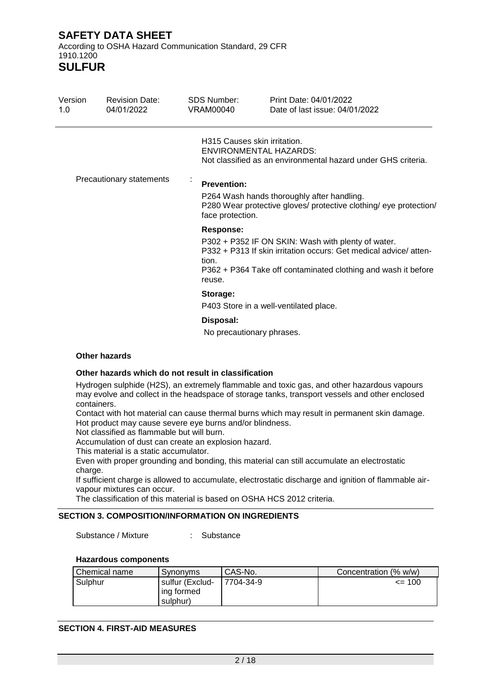**SULFUR**

| Version<br>1.0 | <b>Revision Date:</b><br>04/01/2022 | <b>SDS Number:</b><br><b>VRAM00040</b>                                                                                              | Print Date: 04/01/2022<br>Date of last issue: 04/01/2022                                                                                                                                |  |  |  |
|----------------|-------------------------------------|-------------------------------------------------------------------------------------------------------------------------------------|-----------------------------------------------------------------------------------------------------------------------------------------------------------------------------------------|--|--|--|
|                |                                     | H315 Causes skin irritation.                                                                                                        | <b>ENVIRONMENTAL HAZARDS:</b><br>Not classified as an environmental hazard under GHS criteria.                                                                                          |  |  |  |
|                | Precautionary statements            | <b>Prevention:</b>                                                                                                                  |                                                                                                                                                                                         |  |  |  |
|                |                                     | P264 Wash hands thoroughly after handling.<br>P280 Wear protective gloves/ protective clothing/ eye protection/<br>face protection. |                                                                                                                                                                                         |  |  |  |
|                |                                     | <b>Response:</b><br>tion.<br>reuse.                                                                                                 | P302 + P352 IF ON SKIN: Wash with plenty of water.<br>P332 + P313 If skin irritation occurs: Get medical advice/atten-<br>P362 + P364 Take off contaminated clothing and wash it before |  |  |  |
|                |                                     | Storage:                                                                                                                            | P403 Store in a well-ventilated place.                                                                                                                                                  |  |  |  |
|                |                                     | Disposal:<br>No precautionary phrases.                                                                                              |                                                                                                                                                                                         |  |  |  |

#### **Other hazards**

#### **Other hazards which do not result in classification**

Hydrogen sulphide (H2S), an extremely flammable and toxic gas, and other hazardous vapours may evolve and collect in the headspace of storage tanks, transport vessels and other enclosed containers.

Contact with hot material can cause thermal burns which may result in permanent skin damage. Hot product may cause severe eye burns and/or blindness.

Not classified as flammable but will burn.

Accumulation of dust can create an explosion hazard.

This material is a static accumulator.

Even with proper grounding and bonding, this material can still accumulate an electrostatic charge.

If sufficient charge is allowed to accumulate, electrostatic discharge and ignition of flammable airvapour mixtures can occur.

The classification of this material is based on OSHA HCS 2012 criteria.

#### **SECTION 3. COMPOSITION/INFORMATION ON INGREDIENTS**

Substance / Mixture : Substance

#### **Hazardous components**

| Chemical name | Synonyms                                  | CAS-No.   | Concentration (% w/w) |
|---------------|-------------------------------------------|-----------|-----------------------|
| Sulphur       | sulfur (Exclud-<br>ing formed<br>sulphur) | 7704-34-9 | $= 100$               |

#### **SECTION 4. FIRST-AID MEASURES**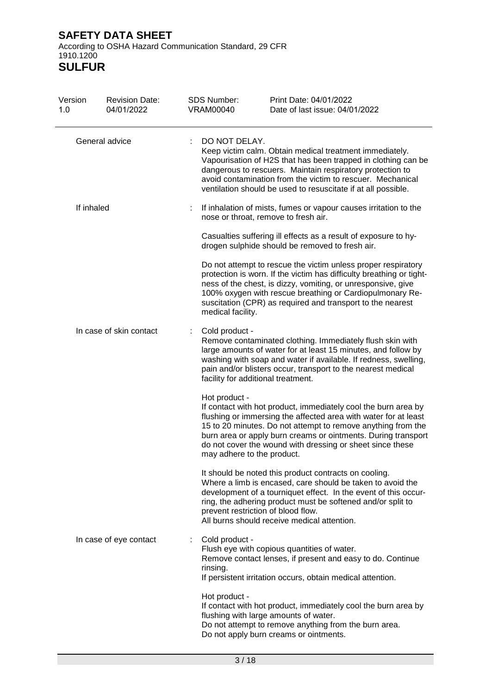According to OSHA Hazard Communication Standard, 29 CFR 1910.1200 **SULFUR**

| Version<br>1.0          | <b>Revision Date:</b><br>04/01/2022 | <b>SDS Number:</b><br><b>VRAM00040</b> | Print Date: 04/01/2022<br>Date of last issue: 04/01/2022                                                                                                                                                                                                                                                                                                      |
|-------------------------|-------------------------------------|----------------------------------------|---------------------------------------------------------------------------------------------------------------------------------------------------------------------------------------------------------------------------------------------------------------------------------------------------------------------------------------------------------------|
|                         | General advice                      | DO NOT DELAY.                          | Keep victim calm. Obtain medical treatment immediately.<br>Vapourisation of H2S that has been trapped in clothing can be<br>dangerous to rescuers. Maintain respiratory protection to<br>avoid contamination from the victim to rescuer. Mechanical<br>ventilation should be used to resuscitate if at all possible.                                          |
| If inhaled              |                                     |                                        | If inhalation of mists, fumes or vapour causes irritation to the<br>nose or throat, remove to fresh air.                                                                                                                                                                                                                                                      |
|                         |                                     |                                        | Casualties suffering ill effects as a result of exposure to hy-<br>drogen sulphide should be removed to fresh air.                                                                                                                                                                                                                                            |
|                         |                                     | medical facility.                      | Do not attempt to rescue the victim unless proper respiratory<br>protection is worn. If the victim has difficulty breathing or tight-<br>ness of the chest, is dizzy, vomiting, or unresponsive, give<br>100% oxygen with rescue breathing or Cardiopulmonary Re-<br>suscitation (CPR) as required and transport to the nearest                               |
| In case of skin contact |                                     | Cold product -                         | Remove contaminated clothing. Immediately flush skin with<br>large amounts of water for at least 15 minutes, and follow by<br>washing with soap and water if available. If redness, swelling,<br>pain and/or blisters occur, transport to the nearest medical<br>facility for additional treatment.                                                           |
|                         |                                     | Hot product -                          | If contact with hot product, immediately cool the burn area by<br>flushing or immersing the affected area with water for at least<br>15 to 20 minutes. Do not attempt to remove anything from the<br>burn area or apply burn creams or ointments. During transport<br>do not cover the wound with dressing or sheet since these<br>may adhere to the product. |
|                         |                                     |                                        | It should be noted this product contracts on cooling.<br>Where a limb is encased, care should be taken to avoid the<br>development of a tourniquet effect. In the event of this occur-<br>ring, the adhering product must be softened and/or split to<br>prevent restriction of blood flow.<br>All burns should receive medical attention.                    |
| In case of eye contact  |                                     | Cold product -<br>rinsing.             | Flush eye with copious quantities of water.<br>Remove contact lenses, if present and easy to do. Continue<br>If persistent irritation occurs, obtain medical attention.                                                                                                                                                                                       |
|                         |                                     | Hot product -                          | If contact with hot product, immediately cool the burn area by<br>flushing with large amounts of water.<br>Do not attempt to remove anything from the burn area.<br>Do not apply burn creams or ointments.                                                                                                                                                    |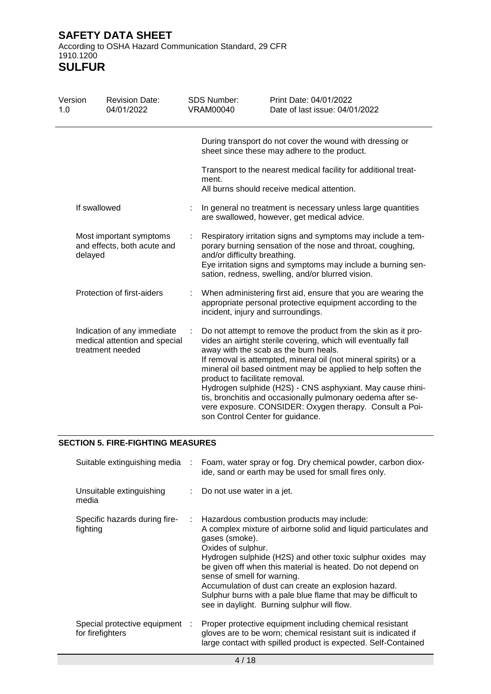**SULFUR**

| Version<br>1.0                                                    | <b>Revision Date:</b><br>04/01/2022                                              | SDS Number:<br><b>VRAM00040</b> | Print Date: 04/01/2022<br>Date of last issue: 04/01/2022                                                                                                                                                                                                                                                                                                                                                                                                                                                                                                                  |
|-------------------------------------------------------------------|----------------------------------------------------------------------------------|---------------------------------|---------------------------------------------------------------------------------------------------------------------------------------------------------------------------------------------------------------------------------------------------------------------------------------------------------------------------------------------------------------------------------------------------------------------------------------------------------------------------------------------------------------------------------------------------------------------------|
|                                                                   |                                                                                  |                                 | During transport do not cover the wound with dressing or<br>sheet since these may adhere to the product.                                                                                                                                                                                                                                                                                                                                                                                                                                                                  |
|                                                                   |                                                                                  | ment.                           | Transport to the nearest medical facility for additional treat-<br>All burns should receive medical attention.                                                                                                                                                                                                                                                                                                                                                                                                                                                            |
|                                                                   | If swallowed                                                                     |                                 | In general no treatment is necessary unless large quantities<br>are swallowed, however, get medical advice.                                                                                                                                                                                                                                                                                                                                                                                                                                                               |
| Most important symptoms<br>and effects, both acute and<br>delayed |                                                                                  |                                 | Respiratory irritation signs and symptoms may include a tem-<br>porary burning sensation of the nose and throat, coughing,<br>and/or difficulty breathing.<br>Eye irritation signs and symptoms may include a burning sen-<br>sation, redness, swelling, and/or blurred vision.                                                                                                                                                                                                                                                                                           |
|                                                                   | Protection of first-aiders                                                       |                                 | When administering first aid, ensure that you are wearing the<br>appropriate personal protective equipment according to the<br>incident, injury and surroundings.                                                                                                                                                                                                                                                                                                                                                                                                         |
|                                                                   | Indication of any immediate<br>medical attention and special<br>treatment needed |                                 | Do not attempt to remove the product from the skin as it pro-<br>vides an airtight sterile covering, which will eventually fall<br>away with the scab as the burn heals.<br>If removal is attempted, mineral oil (not mineral spirits) or a<br>mineral oil based ointment may be applied to help soften the<br>product to facilitate removal.<br>Hydrogen sulphide (H2S) - CNS asphyxiant. May cause rhini-<br>tis, bronchitis and occasionally pulmonary oedema after se-<br>vere exposure. CONSIDER: Oxygen therapy. Consult a Poi-<br>son Control Center for guidance. |

#### **SECTION 5. FIRE-FIGHTING MEASURES**

| Suitable extinguishing media                       | ÷. | Foam, water spray or fog. Dry chemical powder, carbon diox-<br>ide, sand or earth may be used for small fires only.                                                                                                                                                                                                                                                                                                                                                                       |
|----------------------------------------------------|----|-------------------------------------------------------------------------------------------------------------------------------------------------------------------------------------------------------------------------------------------------------------------------------------------------------------------------------------------------------------------------------------------------------------------------------------------------------------------------------------------|
| Unsuitable extinguishing<br>media                  | t. | Do not use water in a jet.                                                                                                                                                                                                                                                                                                                                                                                                                                                                |
| Specific hazards during fire-<br>fighting          | ÷. | Hazardous combustion products may include:<br>A complex mixture of airborne solid and liquid particulates and<br>gases (smoke).<br>Oxides of sulphur.<br>Hydrogen sulphide (H2S) and other toxic sulphur oxides may<br>be given off when this material is heated. Do not depend on<br>sense of smell for warning.<br>Accumulation of dust can create an explosion hazard.<br>Sulphur burns with a pale blue flame that may be difficult to<br>see in daylight. Burning sulphur will flow. |
| Special protective equipment :<br>for firefighters |    | Proper protective equipment including chemical resistant<br>gloves are to be worn; chemical resistant suit is indicated if<br>large contact with spilled product is expected. Self-Contained                                                                                                                                                                                                                                                                                              |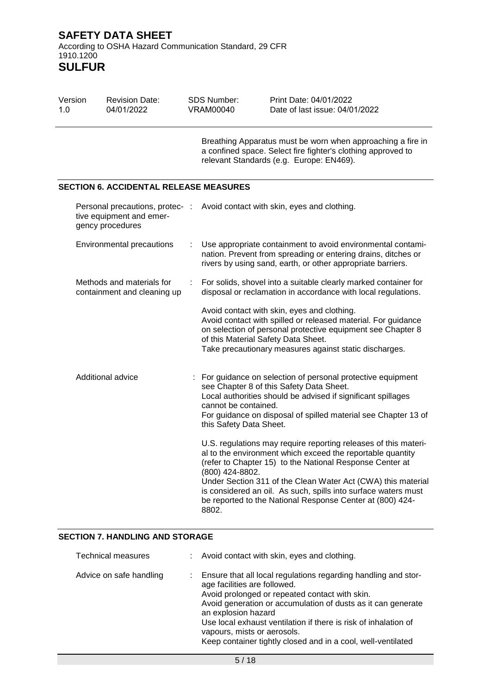**SULFUR**

| Version<br>1.0                                                                  | <b>Revision Date:</b><br>04/01/2022                      |   | <b>SDS Number:</b><br>VRAM00040                 | Print Date: 04/01/2022<br>Date of last issue: 04/01/2022                                                                                                                                                                                                                                                                                                                                 |
|---------------------------------------------------------------------------------|----------------------------------------------------------|---|-------------------------------------------------|------------------------------------------------------------------------------------------------------------------------------------------------------------------------------------------------------------------------------------------------------------------------------------------------------------------------------------------------------------------------------------------|
|                                                                                 |                                                          |   |                                                 | Breathing Apparatus must be worn when approaching a fire in<br>a confined space. Select fire fighter's clothing approved to<br>relevant Standards (e.g. Europe: EN469).                                                                                                                                                                                                                  |
|                                                                                 | <b>SECTION 6. ACCIDENTAL RELEASE MEASURES</b>            |   |                                                 |                                                                                                                                                                                                                                                                                                                                                                                          |
| Personal precautions, protec- :<br>tive equipment and emer-<br>gency procedures |                                                          |   |                                                 | Avoid contact with skin, eyes and clothing.                                                                                                                                                                                                                                                                                                                                              |
| Environmental precautions                                                       |                                                          | ÷ |                                                 | Use appropriate containment to avoid environmental contami-<br>nation. Prevent from spreading or entering drains, ditches or<br>rivers by using sand, earth, or other appropriate barriers.                                                                                                                                                                                              |
|                                                                                 | Methods and materials for<br>containment and cleaning up | t |                                                 | For solids, shovel into a suitable clearly marked container for<br>disposal or reclamation in accordance with local regulations.                                                                                                                                                                                                                                                         |
|                                                                                 |                                                          |   | of this Material Safety Data Sheet.             | Avoid contact with skin, eyes and clothing.<br>Avoid contact with spilled or released material. For guidance<br>on selection of personal protective equipment see Chapter 8<br>Take precautionary measures against static discharges.                                                                                                                                                    |
|                                                                                 | Additional advice                                        |   | cannot be contained.<br>this Safety Data Sheet. | For guidance on selection of personal protective equipment<br>see Chapter 8 of this Safety Data Sheet.<br>Local authorities should be advised if significant spillages<br>For guidance on disposal of spilled material see Chapter 13 of                                                                                                                                                 |
|                                                                                 |                                                          |   | (800) 424-8802.<br>8802.                        | U.S. regulations may require reporting releases of this materi-<br>al to the environment which exceed the reportable quantity<br>(refer to Chapter 15) to the National Response Center at<br>Under Section 311 of the Clean Water Act (CWA) this material<br>is considered an oil. As such, spills into surface waters must<br>be reported to the National Response Center at (800) 424- |

#### **SECTION 7. HANDLING AND STORAGE**

| <b>Technical measures</b> | : Avoid contact with skin, eyes and clothing.                                                                                                                                                                                                                                                                                                                                                             |
|---------------------------|-----------------------------------------------------------------------------------------------------------------------------------------------------------------------------------------------------------------------------------------------------------------------------------------------------------------------------------------------------------------------------------------------------------|
| Advice on safe handling   | Ensure that all local regulations regarding handling and stor-<br>age facilities are followed.<br>Avoid prolonged or repeated contact with skin.<br>Avoid generation or accumulation of dusts as it can generate<br>an explosion hazard<br>Use local exhaust ventilation if there is risk of inhalation of<br>vapours, mists or aerosols.<br>Keep container tightly closed and in a cool, well-ventilated |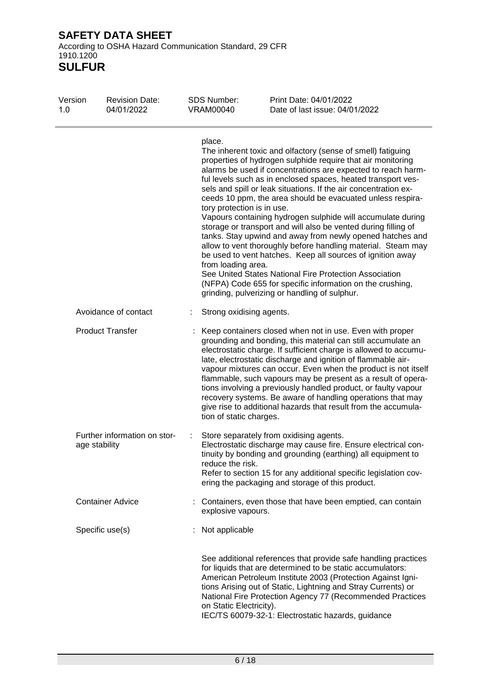According to OSHA Hazard Communication Standard, 29 CFR 1910.1200

**SULFUR**

| Version<br>1.0 | <b>Revision Date:</b><br>04/01/2022           | <b>SDS Number:</b><br><b>VRAM00040</b>                     | Print Date: 04/01/2022<br>Date of last issue: 04/01/2022                                                                                                                                                                                                                                                                                                                                                                                                                                                                                                                                                                                                                                                                                                                                                                                                                                        |
|----------------|-----------------------------------------------|------------------------------------------------------------|-------------------------------------------------------------------------------------------------------------------------------------------------------------------------------------------------------------------------------------------------------------------------------------------------------------------------------------------------------------------------------------------------------------------------------------------------------------------------------------------------------------------------------------------------------------------------------------------------------------------------------------------------------------------------------------------------------------------------------------------------------------------------------------------------------------------------------------------------------------------------------------------------|
|                |                                               | place.<br>tory protection is in use.<br>from loading area. | The inherent toxic and olfactory (sense of smell) fatiguing<br>properties of hydrogen sulphide require that air monitoring<br>alarms be used if concentrations are expected to reach harm-<br>ful levels such as in enclosed spaces, heated transport ves-<br>sels and spill or leak situations. If the air concentration ex-<br>ceeds 10 ppm, the area should be evacuated unless respira-<br>Vapours containing hydrogen sulphide will accumulate during<br>storage or transport and will also be vented during filling of<br>tanks. Stay upwind and away from newly opened hatches and<br>allow to vent thoroughly before handling material. Steam may<br>be used to vent hatches. Keep all sources of ignition away<br>See United States National Fire Protection Association<br>(NFPA) Code 655 for specific information on the crushing,<br>grinding, pulverizing or handling of sulphur. |
|                | Avoidance of contact                          | Strong oxidising agents.                                   |                                                                                                                                                                                                                                                                                                                                                                                                                                                                                                                                                                                                                                                                                                                                                                                                                                                                                                 |
|                | <b>Product Transfer</b>                       | tion of static charges.                                    | Keep containers closed when not in use. Even with proper<br>grounding and bonding, this material can still accumulate an<br>electrostatic charge. If sufficient charge is allowed to accumu-<br>late, electrostatic discharge and ignition of flammable air-<br>vapour mixtures can occur. Even when the product is not itself<br>flammable, such vapours may be present as a result of opera-<br>tions involving a previously handled product, or faulty vapour<br>recovery systems. Be aware of handling operations that may<br>give rise to additional hazards that result from the accumula-                                                                                                                                                                                                                                                                                                |
|                | Further information on stor-<br>age stability | reduce the risk.                                           | Store separately from oxidising agents.<br>Electrostatic discharge may cause fire. Ensure electrical con-<br>tinuity by bonding and grounding (earthing) all equipment to<br>Refer to section 15 for any additional specific legislation cov-<br>ering the packaging and storage of this product.                                                                                                                                                                                                                                                                                                                                                                                                                                                                                                                                                                                               |
|                | <b>Container Advice</b>                       | explosive vapours.                                         | Containers, even those that have been emptied, can contain                                                                                                                                                                                                                                                                                                                                                                                                                                                                                                                                                                                                                                                                                                                                                                                                                                      |
|                | Specific use(s)                               | Not applicable                                             |                                                                                                                                                                                                                                                                                                                                                                                                                                                                                                                                                                                                                                                                                                                                                                                                                                                                                                 |
|                |                                               | on Static Electricity).                                    | See additional references that provide safe handling practices<br>for liquids that are determined to be static accumulators:<br>American Petroleum Institute 2003 (Protection Against Igni-<br>tions Arising out of Static, Lightning and Stray Currents) or<br>National Fire Protection Agency 77 (Recommended Practices<br>IEC/TS 60079-32-1: Electrostatic hazards, guidance                                                                                                                                                                                                                                                                                                                                                                                                                                                                                                                 |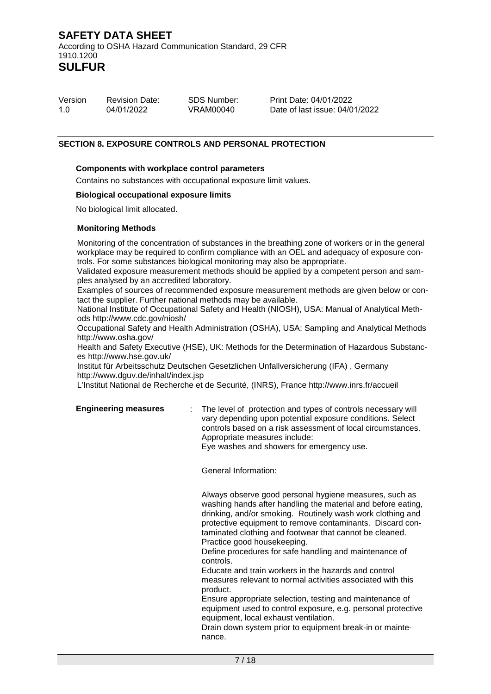| Version | <b>Revision Date:</b> | <b>SDS Number:</b> |
|---------|-----------------------|--------------------|
| 1.0     | 04/01/2022            | VRAM00040          |

Print Date: 04/01/2022 Date of last issue: 04/01/2022

#### **SECTION 8. EXPOSURE CONTROLS AND PERSONAL PROTECTION**

#### **Components with workplace control parameters**

Contains no substances with occupational exposure limit values.

#### **Biological occupational exposure limits**

No biological limit allocated.

#### **Monitoring Methods**

Monitoring of the concentration of substances in the breathing zone of workers or in the general workplace may be required to confirm compliance with an OEL and adequacy of exposure controls. For some substances biological monitoring may also be appropriate.

Validated exposure measurement methods should be applied by a competent person and samples analysed by an accredited laboratory.

Examples of sources of recommended exposure measurement methods are given below or contact the supplier. Further national methods may be available.

National Institute of Occupational Safety and Health (NIOSH), USA: Manual of Analytical Methods http://www.cdc.gov/niosh/

Occupational Safety and Health Administration (OSHA), USA: Sampling and Analytical Methods http://www.osha.gov/

Health and Safety Executive (HSE), UK: Methods for the Determination of Hazardous Substances http://www.hse.gov.uk/

Institut für Arbeitsschutz Deutschen Gesetzlichen Unfallversicherung (IFA) , Germany http://www.dguv.de/inhalt/index.jsp

L'Institut National de Recherche et de Securité, (INRS), France http://www.inrs.fr/accueil

**Engineering measures** : The level of protection and types of controls necessary will vary depending upon potential exposure conditions. Select controls based on a risk assessment of local circumstances. Appropriate measures include: Eye washes and showers for emergency use.

General Information:

Always observe good personal hygiene measures, such as washing hands after handling the material and before eating, drinking, and/or smoking. Routinely wash work clothing and protective equipment to remove contaminants. Discard contaminated clothing and footwear that cannot be cleaned. Practice good housekeeping.

Define procedures for safe handling and maintenance of controls.

Educate and train workers in the hazards and control measures relevant to normal activities associated with this product.

Ensure appropriate selection, testing and maintenance of equipment used to control exposure, e.g. personal protective equipment, local exhaust ventilation.

Drain down system prior to equipment break-in or maintenance.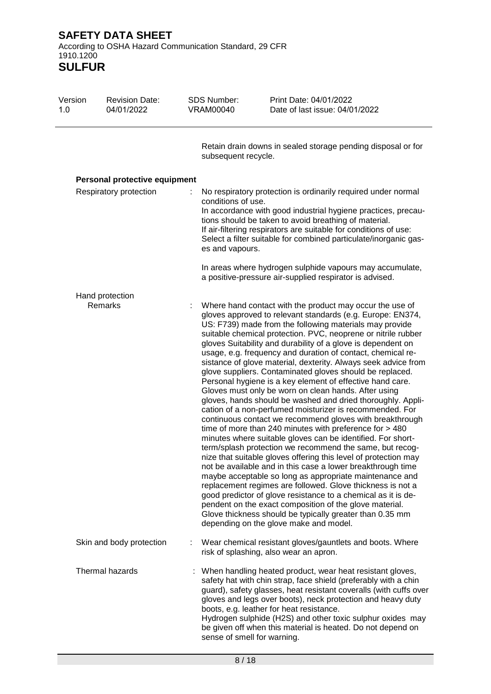**SULFUR**

| Version<br>1.0         | <b>Revision Date:</b><br>04/01/2022 | SDS Number:<br><b>VRAM00040</b>       | Print Date: 04/01/2022<br>Date of last issue: 04/01/2022                                                                                                                                                                                                                                                                                                                                                                                                                                                                                                                                                                                                                                                                                                                                                                                                                                                                                                                                                                                                                                                                                                                                                                                                                                                                                                                                                                                                                                                       |
|------------------------|-------------------------------------|---------------------------------------|----------------------------------------------------------------------------------------------------------------------------------------------------------------------------------------------------------------------------------------------------------------------------------------------------------------------------------------------------------------------------------------------------------------------------------------------------------------------------------------------------------------------------------------------------------------------------------------------------------------------------------------------------------------------------------------------------------------------------------------------------------------------------------------------------------------------------------------------------------------------------------------------------------------------------------------------------------------------------------------------------------------------------------------------------------------------------------------------------------------------------------------------------------------------------------------------------------------------------------------------------------------------------------------------------------------------------------------------------------------------------------------------------------------------------------------------------------------------------------------------------------------|
|                        |                                     | subsequent recycle.                   | Retain drain downs in sealed storage pending disposal or for                                                                                                                                                                                                                                                                                                                                                                                                                                                                                                                                                                                                                                                                                                                                                                                                                                                                                                                                                                                                                                                                                                                                                                                                                                                                                                                                                                                                                                                   |
|                        | Personal protective equipment       |                                       |                                                                                                                                                                                                                                                                                                                                                                                                                                                                                                                                                                                                                                                                                                                                                                                                                                                                                                                                                                                                                                                                                                                                                                                                                                                                                                                                                                                                                                                                                                                |
| Respiratory protection |                                     | conditions of use.<br>es and vapours. | No respiratory protection is ordinarily required under normal<br>In accordance with good industrial hygiene practices, precau-<br>tions should be taken to avoid breathing of material.<br>If air-filtering respirators are suitable for conditions of use:<br>Select a filter suitable for combined particulate/inorganic gas-                                                                                                                                                                                                                                                                                                                                                                                                                                                                                                                                                                                                                                                                                                                                                                                                                                                                                                                                                                                                                                                                                                                                                                                |
|                        |                                     |                                       | In areas where hydrogen sulphide vapours may accumulate,<br>a positive-pressure air-supplied respirator is advised.                                                                                                                                                                                                                                                                                                                                                                                                                                                                                                                                                                                                                                                                                                                                                                                                                                                                                                                                                                                                                                                                                                                                                                                                                                                                                                                                                                                            |
|                        | Hand protection                     |                                       |                                                                                                                                                                                                                                                                                                                                                                                                                                                                                                                                                                                                                                                                                                                                                                                                                                                                                                                                                                                                                                                                                                                                                                                                                                                                                                                                                                                                                                                                                                                |
|                        | Remarks                             |                                       | Where hand contact with the product may occur the use of<br>gloves approved to relevant standards (e.g. Europe: EN374,<br>US: F739) made from the following materials may provide<br>suitable chemical protection. PVC, neoprene or nitrile rubber<br>gloves Suitability and durability of a glove is dependent on<br>usage, e.g. frequency and duration of contact, chemical re-<br>sistance of glove material, dexterity. Always seek advice from<br>glove suppliers. Contaminated gloves should be replaced.<br>Personal hygiene is a key element of effective hand care.<br>Gloves must only be worn on clean hands. After using<br>gloves, hands should be washed and dried thoroughly. Appli-<br>cation of a non-perfumed moisturizer is recommended. For<br>continuous contact we recommend gloves with breakthrough<br>time of more than 240 minutes with preference for > 480<br>minutes where suitable gloves can be identified. For short-<br>term/splash protection we recommend the same, but recog-<br>nize that suitable gloves offering this level of protection may<br>not be available and in this case a lower breakthrough time<br>maybe acceptable so long as appropriate maintenance and<br>replacement regimes are followed. Glove thickness is not a<br>good predictor of glove resistance to a chemical as it is de-<br>pendent on the exact composition of the glove material.<br>Glove thickness should be typically greater than 0.35 mm<br>depending on the glove make and model. |
|                        | Skin and body protection            |                                       | Wear chemical resistant gloves/gauntlets and boots. Where<br>risk of splashing, also wear an apron.                                                                                                                                                                                                                                                                                                                                                                                                                                                                                                                                                                                                                                                                                                                                                                                                                                                                                                                                                                                                                                                                                                                                                                                                                                                                                                                                                                                                            |
|                        | Thermal hazards                     | sense of smell for warning.           | : When handling heated product, wear heat resistant gloves,<br>safety hat with chin strap, face shield (preferably with a chin<br>guard), safety glasses, heat resistant coveralls (with cuffs over<br>gloves and legs over boots), neck protection and heavy duty<br>boots, e.g. leather for heat resistance.<br>Hydrogen sulphide (H2S) and other toxic sulphur oxides may<br>be given off when this material is heated. Do not depend on                                                                                                                                                                                                                                                                                                                                                                                                                                                                                                                                                                                                                                                                                                                                                                                                                                                                                                                                                                                                                                                                    |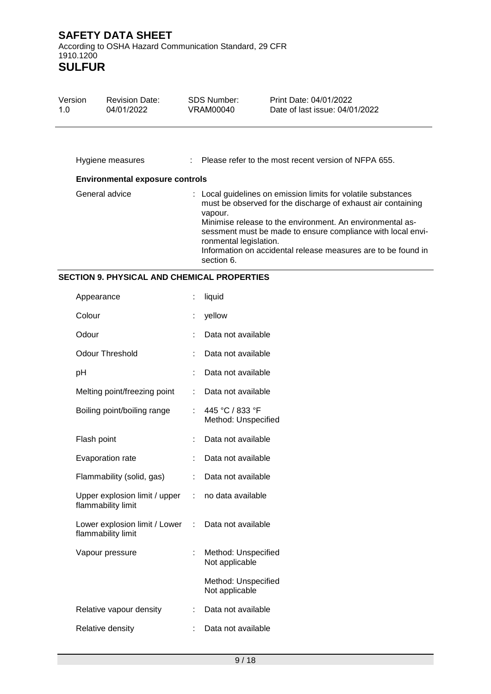| Version<br>1.0 | <b>Revision Date:</b><br>04/01/2022    | <b>SDS Number:</b><br>VRAM00040                 | Print Date: 04/01/2022<br>Date of last issue: 04/01/2022                                                                                                                                                                                                                                                                   |
|----------------|----------------------------------------|-------------------------------------------------|----------------------------------------------------------------------------------------------------------------------------------------------------------------------------------------------------------------------------------------------------------------------------------------------------------------------------|
|                | Hygiene measures                       |                                                 | Please refer to the most recent version of NFPA 655.                                                                                                                                                                                                                                                                       |
|                | <b>Environmental exposure controls</b> |                                                 |                                                                                                                                                                                                                                                                                                                            |
|                | General advice                         | vapour.<br>ronmental legislation.<br>section 6. | : Local guidelines on emission limits for volatile substances<br>must be observed for the discharge of exhaust air containing<br>Minimise release to the environment. An environmental as-<br>sessment must be made to ensure compliance with local envi-<br>Information on accidental release measures are to be found in |

# **SECTION 9. PHYSICAL AND CHEMICAL PROPERTIES**

| Appearance                                          |    | liquid                                 |
|-----------------------------------------------------|----|----------------------------------------|
| Colour                                              |    | yellow                                 |
| Odour                                               |    | Data not available                     |
| <b>Odour Threshold</b>                              |    | Data not available                     |
| рH                                                  | t  | Data not available                     |
| Melting point/freezing point                        |    | Data not available                     |
| Boiling point/boiling range                         | ۰  | 445 °C / 833 °F<br>Method: Unspecified |
| Flash point                                         |    | Data not available                     |
| Evaporation rate                                    | t  | Data not available                     |
| Flammability (solid, gas)                           | t. | Data not available                     |
| Upper explosion limit / upper<br>flammability limit | ÷. | no data available                      |
| Lower explosion limit / Lower<br>flammability limit | t. | Data not available                     |
| Vapour pressure                                     | ÷. | Method: Unspecified<br>Not applicable  |
|                                                     |    | Method: Unspecified<br>Not applicable  |
| Relative vapour density                             | t. | Data not available                     |
| Relative density                                    |    | Data not available                     |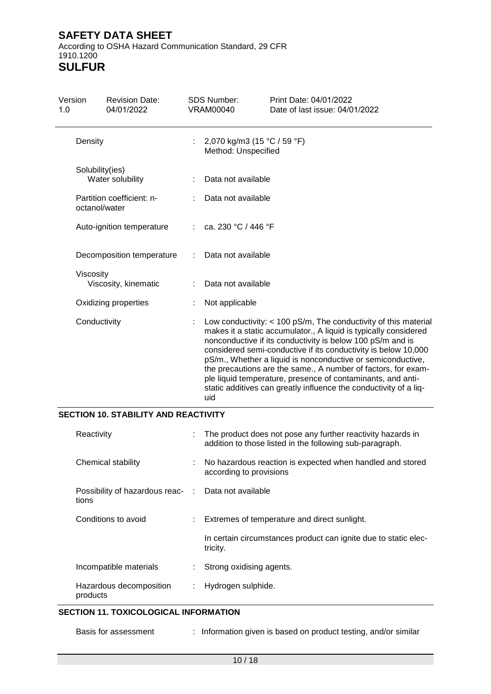According to OSHA Hazard Communication Standard, 29 CFR 1910.1200 **SULFUR**

| Version<br>1.0 |                                            | <b>Revision Date:</b><br>04/01/2022 |    | <b>SDS Number:</b><br><b>VRAM00040</b>             | Print Date: 04/01/2022<br>Date of last issue: 04/01/2022                                                                                                                                                                                                                                                                                                                                                                                                                                                                                  |
|----------------|--------------------------------------------|-------------------------------------|----|----------------------------------------------------|-------------------------------------------------------------------------------------------------------------------------------------------------------------------------------------------------------------------------------------------------------------------------------------------------------------------------------------------------------------------------------------------------------------------------------------------------------------------------------------------------------------------------------------------|
|                | Density                                    |                                     |    | 2,070 kg/m3 (15 °C / 59 °F)<br>Method: Unspecified |                                                                                                                                                                                                                                                                                                                                                                                                                                                                                                                                           |
|                | Solubility(ies)<br>Water solubility        |                                     |    | Data not available                                 |                                                                                                                                                                                                                                                                                                                                                                                                                                                                                                                                           |
|                | Partition coefficient: n-<br>octanol/water |                                     |    | Data not available                                 |                                                                                                                                                                                                                                                                                                                                                                                                                                                                                                                                           |
|                |                                            | Auto-ignition temperature           | ÷. | ca. 230 °C / 446 °F                                |                                                                                                                                                                                                                                                                                                                                                                                                                                                                                                                                           |
|                |                                            | Decomposition temperature           |    | Data not available                                 |                                                                                                                                                                                                                                                                                                                                                                                                                                                                                                                                           |
|                | Viscosity                                  | Viscosity, kinematic                |    | Data not available                                 |                                                                                                                                                                                                                                                                                                                                                                                                                                                                                                                                           |
|                | Oxidizing properties                       |                                     |    | Not applicable                                     |                                                                                                                                                                                                                                                                                                                                                                                                                                                                                                                                           |
|                | Conductivity                               |                                     |    | uid                                                | Low conductivity: $<$ 100 pS/m, The conductivity of this material<br>makes it a static accumulator., A liquid is typically considered<br>nonconductive if its conductivity is below 100 pS/m and is<br>considered semi-conductive if its conductivity is below 10,000<br>pS/m., Whether a liquid is nonconductive or semiconductive,<br>the precautions are the same., A number of factors, for exam-<br>ple liquid temperature, presence of contaminants, and anti-<br>static additives can greatly influence the conductivity of a liq- |

#### **SECTION 10. STABILITY AND REACTIVITY**

| Reactivity                                                   |   | The product does not pose any further reactivity hazards in<br>addition to those listed in the following sub-paragraph. |
|--------------------------------------------------------------|---|-------------------------------------------------------------------------------------------------------------------------|
| Chemical stability                                           |   | No hazardous reaction is expected when handled and stored<br>according to provisions                                    |
| Possibility of hazardous reac- : Data not available<br>tions |   |                                                                                                                         |
| Conditions to avoid                                          |   | : Extremes of temperature and direct sunlight.                                                                          |
|                                                              |   | In certain circumstances product can ignite due to static elec-<br>tricity.                                             |
| Incompatible materials                                       |   | Strong oxidising agents.                                                                                                |
| Hazardous decomposition<br>products                          | ÷ | Hydrogen sulphide.                                                                                                      |

#### **SECTION 11. TOXICOLOGICAL INFORMATION**

: Information given is based on product testing, and/or similar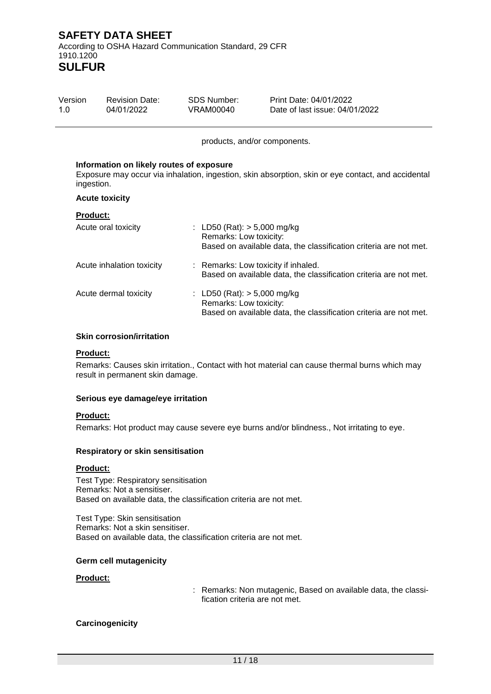| Version | <b>Revision Date:</b> | SDS Number: | Print Date: 04/01/2022         |
|---------|-----------------------|-------------|--------------------------------|
| 1.0     | 04/01/2022            | VRAM00040   | Date of last issue: 04/01/2022 |

products, and/or components.

#### **Information on likely routes of exposure**

Exposure may occur via inhalation, ingestion, skin absorption, skin or eye contact, and accidental ingestion.

#### **Acute toxicity**

#### **Product:**

| Acute oral toxicity       | : LD50 (Rat): $> 5,000$ mg/kg<br>Remarks: Low toxicity:<br>Based on available data, the classification criteria are not met. |
|---------------------------|------------------------------------------------------------------------------------------------------------------------------|
| Acute inhalation toxicity | : Remarks: Low toxicity if inhaled.<br>Based on available data, the classification criteria are not met.                     |
| Acute dermal toxicity     | : LD50 (Rat): $> 5,000$ mg/kg<br>Remarks: Low toxicity:<br>Based on available data, the classification criteria are not met. |

#### **Skin corrosion/irritation**

#### **Product:**

Remarks: Causes skin irritation., Contact with hot material can cause thermal burns which may result in permanent skin damage.

#### **Serious eye damage/eye irritation**

#### **Product:**

Remarks: Hot product may cause severe eye burns and/or blindness., Not irritating to eye.

#### **Respiratory or skin sensitisation**

#### **Product:**

Test Type: Respiratory sensitisation Remarks: Not a sensitiser. Based on available data, the classification criteria are not met.

Test Type: Skin sensitisation Remarks: Not a skin sensitiser. Based on available data, the classification criteria are not met.

#### **Germ cell mutagenicity**

#### **Product:**

: Remarks: Non mutagenic, Based on available data, the classification criteria are not met.

#### **Carcinogenicity**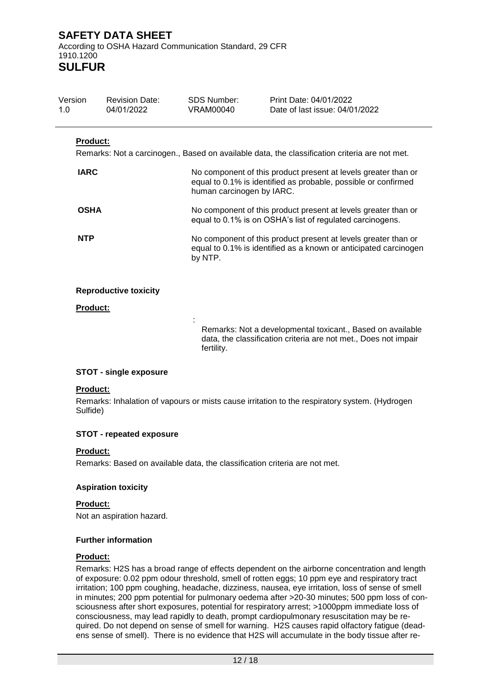**SULFUR**

| Version<br>1.0  | <b>Revision Date:</b><br>04/01/2022 | SDS Number:<br>VRAM00040  | Print Date: 04/01/2022<br>Date of last issue: 04/01/2022                                                                           |
|-----------------|-------------------------------------|---------------------------|------------------------------------------------------------------------------------------------------------------------------------|
| <b>Product:</b> |                                     |                           |                                                                                                                                    |
|                 |                                     |                           | Remarks: Not a carcinogen., Based on available data, the classification criteria are not met.                                      |
| <b>IARC</b>     |                                     | human carcinogen by IARC. | No component of this product present at levels greater than or<br>equal to 0.1% is identified as probable, possible or confirmed   |
| <b>OSHA</b>     |                                     |                           | No component of this product present at levels greater than or<br>equal to 0.1% is on OSHA's list of regulated carcinogens.        |
| <b>NTP</b>      |                                     | by NTP.                   | No component of this product present at levels greater than or<br>equal to 0.1% is identified as a known or anticipated carcinogen |
|                 | <b>Reproductive toxicity</b>        |                           |                                                                                                                                    |
| Product:        |                                     |                           |                                                                                                                                    |
|                 |                                     | fertility.                | Remarks: Not a developmental toxicant., Based on available<br>data, the classification criteria are not met., Does not impair      |

#### **STOT - single exposure**

#### **Product:**

Remarks: Inhalation of vapours or mists cause irritation to the respiratory system. (Hydrogen Sulfide)

#### **STOT - repeated exposure**

#### **Product:**

Remarks: Based on available data, the classification criteria are not met.

#### **Aspiration toxicity**

#### **Product:**

Not an aspiration hazard.

#### **Further information**

#### **Product:**

Remarks: H2S has a broad range of effects dependent on the airborne concentration and length of exposure: 0.02 ppm odour threshold, smell of rotten eggs; 10 ppm eye and respiratory tract irritation; 100 ppm coughing, headache, dizziness, nausea, eye irritation, loss of sense of smell in minutes; 200 ppm potential for pulmonary oedema after >20-30 minutes; 500 ppm loss of consciousness after short exposures, potential for respiratory arrest; >1000ppm immediate loss of consciousness, may lead rapidly to death, prompt cardiopulmonary resuscitation may be required. Do not depend on sense of smell for warning. H2S causes rapid olfactory fatigue (deadens sense of smell). There is no evidence that H2S will accumulate in the body tissue after re-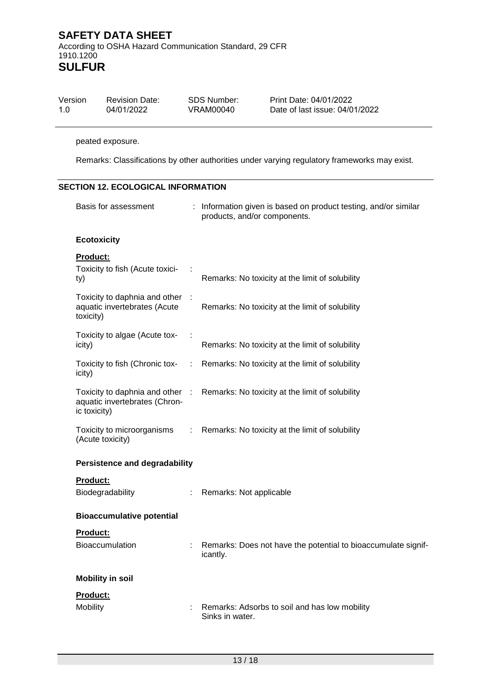| Version | <b>Revision Date:</b> | SDS Number: | Print Date: 04/01/2022         |
|---------|-----------------------|-------------|--------------------------------|
| 1.0     | 04/01/2022            | VRAM00040   | Date of last issue: 04/01/2022 |

#### peated exposure.

Remarks: Classifications by other authorities under varying regulatory frameworks may exist.

# **SECTION 12. ECOLOGICAL INFORMATION**

| Basis for assessment                                                             |   | Information given is based on product testing, and/or similar<br>products, and/or components. |
|----------------------------------------------------------------------------------|---|-----------------------------------------------------------------------------------------------|
| <b>Ecotoxicity</b>                                                               |   |                                                                                               |
| <b>Product:</b><br>Toxicity to fish (Acute toxici-<br>ty)                        |   | Remarks: No toxicity at the limit of solubility                                               |
| Toxicity to daphnia and other<br>aquatic invertebrates (Acute<br>toxicity)       |   | Remarks: No toxicity at the limit of solubility                                               |
| Toxicity to algae (Acute tox-<br>icity)                                          |   | Remarks: No toxicity at the limit of solubility                                               |
| Toxicity to fish (Chronic tox-<br>icity)                                         | ÷ | Remarks: No toxicity at the limit of solubility                                               |
| Toxicity to daphnia and other :<br>aquatic invertebrates (Chron-<br>ic toxicity) |   | Remarks: No toxicity at the limit of solubility                                               |
| Toxicity to microorganisms<br>(Acute toxicity)                                   | ÷ | Remarks: No toxicity at the limit of solubility                                               |
| <b>Persistence and degradability</b>                                             |   |                                                                                               |
| Product:<br>Biodegradability                                                     | ÷ | Remarks: Not applicable                                                                       |
| <b>Bioaccumulative potential</b>                                                 |   |                                                                                               |
| <b>Product:</b><br>Bioaccumulation                                               |   | Remarks: Does not have the potential to bioaccumulate signif-<br>icantly.                     |
| <b>Mobility in soil</b>                                                          |   |                                                                                               |
| Product:<br><b>Mobility</b>                                                      |   | Remarks: Adsorbs to soil and has low mobility<br>Sinks in water.                              |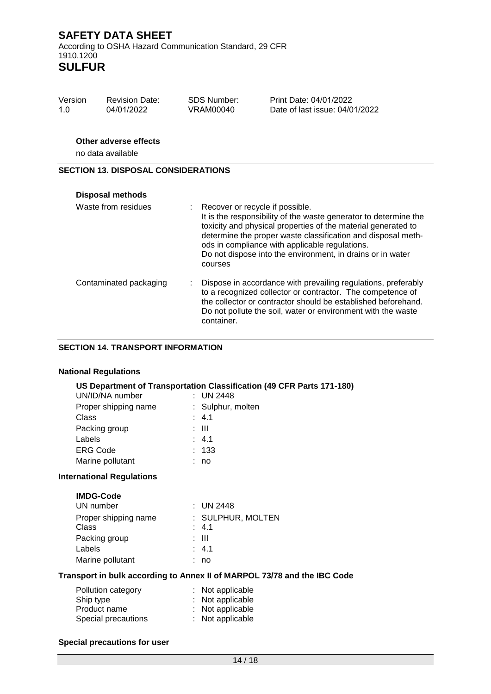**SULFUR**

| Version<br>1.0 | <b>Revision Date:</b><br>04/01/2022               | <b>SDS Number:</b><br>VRAM00040   | Print Date: 04/01/2022<br>Date of last issue: 04/01/2022                                                                                                                                                                                            |
|----------------|---------------------------------------------------|-----------------------------------|-----------------------------------------------------------------------------------------------------------------------------------------------------------------------------------------------------------------------------------------------------|
|                | <b>Other adverse effects</b><br>no data available |                                   |                                                                                                                                                                                                                                                     |
|                | <b>SECTION 13. DISPOSAL CONSIDERATIONS</b>        |                                   |                                                                                                                                                                                                                                                     |
|                | <b>Disposal methods</b>                           |                                   |                                                                                                                                                                                                                                                     |
|                | Waste from residues                               | : Recover or recycle if possible. | It is the responsibility of the waste generator to determine the<br>toxicity and physical properties of the material generated to<br>determine the proper waste classification and disposal meth-<br>ods in compliance with applicable regulations. |

|                        | Do not dispose into the environment, in drains or in water<br>courses                                                                                                                                                                                                      |
|------------------------|----------------------------------------------------------------------------------------------------------------------------------------------------------------------------------------------------------------------------------------------------------------------------|
| Contaminated packaging | Dispose in accordance with prevailing regulations, preferably<br>to a recognized collector or contractor. The competence of<br>the collector or contractor should be established beforehand.<br>Do not pollute the soil, water or environment with the waste<br>container. |

#### **SECTION 14. TRANSPORT INFORMATION**

#### **National Regulations**

# **US Department of Transportation Classification (49 CFR Parts 171-180)**

| UN/ID/NA number      | : UN 2448         |
|----------------------|-------------------|
| Proper shipping name | : Sulphur, molten |
| Class                | : 4.1             |
| Packing group        | : III             |
| Labels               | : 4.1             |
| <b>ERG Code</b>      | : 133             |
| Marine pollutant     | no                |
|                      |                   |

#### **International Regulations**

| <b>IMDG-Code</b><br>UN number | : UN 2448                 |
|-------------------------------|---------------------------|
| Proper shipping name          | : SULPHUR, MOLTEN         |
| Class<br>Packing group        | $\therefore$ 4.1<br>: III |
| Labels                        | : 4.1                     |
| Marine pollutant              | no                        |

#### **Transport in bulk according to Annex II of MARPOL 73/78 and the IBC Code**

| Pollution category  | : Not applicable |
|---------------------|------------------|
| Ship type           | : Not applicable |
| Product name        | : Not applicable |
| Special precautions | : Not applicable |

#### **Special precautions for user**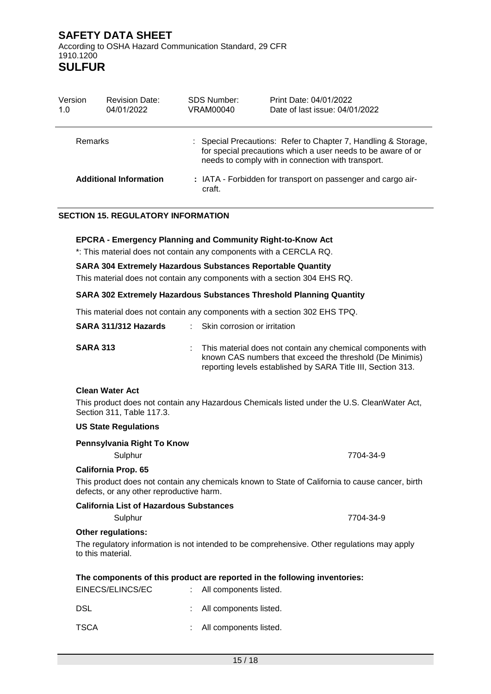# **California List of Hazardous Substances**

### **Other regulations:**

The regulatory information is not intended to be comprehensive. Other regulations may apply to this material.

## **The components of this product are reported in the following inventories:**

| EINECS/ELINCS/EC | : All components listed. |
|------------------|--------------------------|
| DSL              | : All components listed. |
| TSCA             | : All components listed. |

**Clean Water Act**

Version 1.0

> This product does not contain any Hazardous Chemicals listed under the U.S. CleanWater Act, Section 311, Table 117.3.

# **US State Regulations**

**Pennsylvania Right To Know**

Sulphur 7704-34-9 **California Prop. 65**

This product does not contain any chemicals known to State of California to cause cancer, birth defects, or any other reproductive harm.

#### **SARA 313** : This material does not contain any chemical components with known CAS numbers that exceed the threshold (De Minimis)

**SARA 304 Extremely Hazardous Substances Reportable Quantity**

**EPCRA - Emergency Planning and Community Right-to-Know Act** \*: This material does not contain any components with a CERCLA RQ.

# This material does not contain any components with a section 304 EHS RQ.

craft.

SDS Number: VRAM00040

|                      | <b>SARA 302 Extremely Hazardous Substances Threshold Planning Quantity</b> |
|----------------------|----------------------------------------------------------------------------|
|                      | This material does not contain any components with a section 302 EHS TPQ.  |
| SARA 311/312 Hazards | : Skin corrosion or irritation                                             |
|                      |                                                                            |

**SECTION 15. REGULATORY INFORMATION**

**Additional Information :** IATA - Forbidden for transport on passenger and cargo air-

Remarks : Special Precautions: Refer to Chapter 7, Handling & Storage,

Print Date: 04/01/2022 Date of last issue: 04/01/2022

for special precautions which a user needs to be aware of or

reporting levels established by SARA Title III, Section 313.

needs to comply with in connection with transport.

#### **SAFETY DATA SHEET** According to OSHA Hazard Communication Standard, 29 CFR 1910.1200 **SULFUR**

Revision Date: 04/01/2022

Sulphur 7704-34-9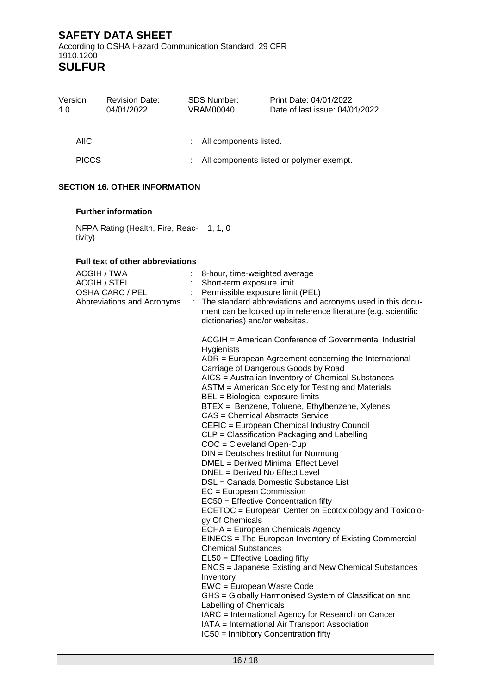**SULFUR**

| Version<br>1.0 | <b>Revision Date:</b><br>04/01/2022 | SDS Number:<br>VRAM00040     | Print Date: 04/01/2022<br>Date of last issue: 04/01/2022 |
|----------------|-------------------------------------|------------------------------|----------------------------------------------------------|
| AIIC.          |                                     | All components listed.<br>÷. |                                                          |
| <b>PICCS</b>   |                                     | ÷.                           | All components listed or polymer exempt.                 |

# **SECTION 16. OTHER INFORMATION**

#### **Further information**

NFPA Rating (Health, Fire, Reac-1, 1, 0 tivity)

#### **Full text of other abbreviations**

| ACGIH / TWA<br><b>ACGIH / STEL</b><br><b>OSHA CARC / PEL</b><br>Abbreviations and Acronyms | $\ddot{\phantom{a}}$ | 8-hour, time-weighted average<br>Short-term exposure limit<br>Permissible exposure limit (PEL)<br>The standard abbreviations and acronyms used in this docu-<br>ment can be looked up in reference literature (e.g. scientific<br>dictionaries) and/or websites.                                                                                                                                                                                                                                                                                                                                                                                                                                                                                                                                                                                                                                                                                                                                                                                                                                                                                                                                                                                                                                                                                      |
|--------------------------------------------------------------------------------------------|----------------------|-------------------------------------------------------------------------------------------------------------------------------------------------------------------------------------------------------------------------------------------------------------------------------------------------------------------------------------------------------------------------------------------------------------------------------------------------------------------------------------------------------------------------------------------------------------------------------------------------------------------------------------------------------------------------------------------------------------------------------------------------------------------------------------------------------------------------------------------------------------------------------------------------------------------------------------------------------------------------------------------------------------------------------------------------------------------------------------------------------------------------------------------------------------------------------------------------------------------------------------------------------------------------------------------------------------------------------------------------------|
|                                                                                            |                      | ACGIH = American Conference of Governmental Industrial<br>Hygienists<br>ADR = European Agreement concerning the International<br>Carriage of Dangerous Goods by Road<br>AICS = Australian Inventory of Chemical Substances<br>ASTM = American Society for Testing and Materials<br>BEL = Biological exposure limits<br>BTEX = Benzene, Toluene, Ethylbenzene, Xylenes<br>CAS = Chemical Abstracts Service<br>CEFIC = European Chemical Industry Council<br>CLP = Classification Packaging and Labelling<br>COC = Cleveland Open-Cup<br>DIN = Deutsches Institut fur Normung<br>DMEL = Derived Minimal Effect Level<br>DNEL = Derived No Effect Level<br>DSL = Canada Domestic Substance List<br>$EC = European Commission$<br>EC50 = Effective Concentration fifty<br>ECETOC = European Center on Ecotoxicology and Toxicolo-<br>gy Of Chemicals<br>ECHA = European Chemicals Agency<br>EINECS = The European Inventory of Existing Commercial<br><b>Chemical Substances</b><br>EL50 = Effective Loading fifty<br>ENCS = Japanese Existing and New Chemical Substances<br>Inventory<br>EWC = European Waste Code<br>GHS = Globally Harmonised System of Classification and<br>Labelling of Chemicals<br>IARC = International Agency for Research on Cancer<br>IATA = International Air Transport Association<br>IC50 = Inhibitory Concentration fifty |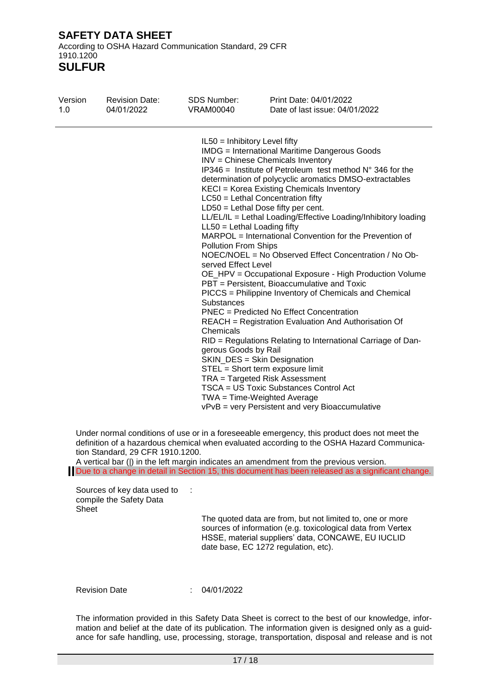According to OSHA Hazard Communication Standard, 29 CFR 1910.1200

**SULFUR**

| Version<br>1.0 | <b>Revision Date:</b><br>04/01/2022                                                                                           | SDS Number:<br><b>VRAM00040</b> | Print Date: 04/01/2022<br>Date of last issue: 04/01/2022                                                                                                                                                                                                                                                                                                                                                                                                                                                                                                                                                                                                                                                                                                                                                                                                                                                                                                                                                                                                                                                                                                                                                                                                                                                                                                                            |  |
|----------------|-------------------------------------------------------------------------------------------------------------------------------|---------------------------------|-------------------------------------------------------------------------------------------------------------------------------------------------------------------------------------------------------------------------------------------------------------------------------------------------------------------------------------------------------------------------------------------------------------------------------------------------------------------------------------------------------------------------------------------------------------------------------------------------------------------------------------------------------------------------------------------------------------------------------------------------------------------------------------------------------------------------------------------------------------------------------------------------------------------------------------------------------------------------------------------------------------------------------------------------------------------------------------------------------------------------------------------------------------------------------------------------------------------------------------------------------------------------------------------------------------------------------------------------------------------------------------|--|
|                | definition of a hazardous chemical when evaluated according to the OSHA Hazard Communica-<br>tion Standard, 29 CFR 1910.1200. | <b>Substances</b><br>Chemicals  | IL50 = Inhibitory Level fifty<br><b>IMDG</b> = International Maritime Dangerous Goods<br>INV = Chinese Chemicals Inventory<br>$IP346$ = Institute of Petroleum test method $N^{\circ}$ 346 for the<br>determination of polycyclic aromatics DMSO-extractables<br>KECI = Korea Existing Chemicals Inventory<br>LC50 = Lethal Concentration fifty<br>$LD50 = Lethal Does fifty per cent.$<br>LL/EL/IL = Lethal Loading/Effective Loading/Inhibitory loading<br>$LL50 = Lethal$ Loading fifty<br>MARPOL = International Convention for the Prevention of<br><b>Pollution From Ships</b><br>NOEC/NOEL = No Observed Effect Concentration / No Ob-<br>served Effect Level<br>OE_HPV = Occupational Exposure - High Production Volume<br>PBT = Persistent, Bioaccumulative and Toxic<br>PICCS = Philippine Inventory of Chemicals and Chemical<br><b>PNEC</b> = Predicted No Effect Concentration<br><b>REACH</b> = Registration Evaluation And Authorisation Of<br>RID = Regulations Relating to International Carriage of Dan-<br>gerous Goods by Rail<br>SKIN_DES = Skin Designation<br>STEL = Short term exposure limit<br>TRA = Targeted Risk Assessment<br>TSCA = US Toxic Substances Control Act<br>TWA = Time-Weighted Average<br>vPvB = very Persistent and very Bioaccumulative<br>Under normal conditions of use or in a foreseeable emergency, this product does not meet the |  |
|                |                                                                                                                               |                                 | A vertical bar ( ) in the left margin indicates an amendment from the previous version.<br>Due to a change in detail in Section 15, this document has been released as a significant change.                                                                                                                                                                                                                                                                                                                                                                                                                                                                                                                                                                                                                                                                                                                                                                                                                                                                                                                                                                                                                                                                                                                                                                                        |  |
| Sheet          | Sources of key data used to<br>compile the Safety Data                                                                        | $\sim$                          | The quoted data are from, but not limited to, one or more<br>sources of information (e.g. toxicological data from Vertex<br>HSSE, material suppliers' data, CONCAWE, EU IUCLID<br>date base, EC 1272 regulation, etc).                                                                                                                                                                                                                                                                                                                                                                                                                                                                                                                                                                                                                                                                                                                                                                                                                                                                                                                                                                                                                                                                                                                                                              |  |
|                | <b>Revision Date</b>                                                                                                          | 04/01/2022                      | The information provided in this Safety Data Sheet is correct to the best of our knowledge, infor-                                                                                                                                                                                                                                                                                                                                                                                                                                                                                                                                                                                                                                                                                                                                                                                                                                                                                                                                                                                                                                                                                                                                                                                                                                                                                  |  |

mation and belief at the date of its publication. The information given is designed only as a guidance for safe handling, use, processing, storage, transportation, disposal and release and is not